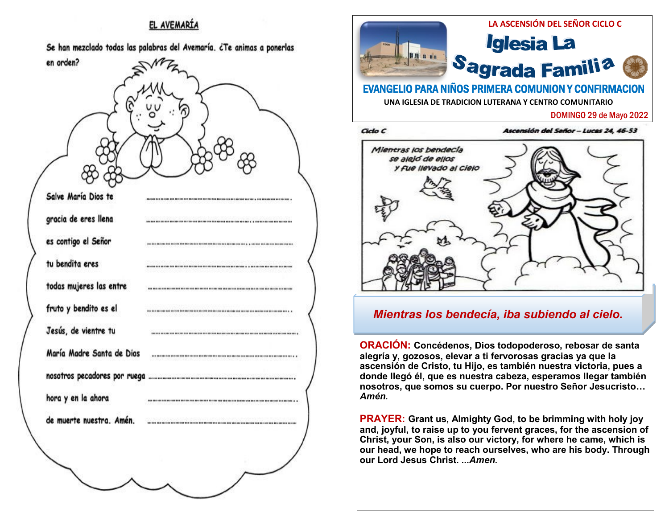## EL AVEMARÍA

Se han mezclado todas las palabras del Avemaría. ¿Te animas a ponerlas





**ORACIÓN: Concédenos, Dios todopoderoso, rebosar de santa alegría y, gozosos, elevar a ti fervorosas gracias ya que la ascensión de Cristo, tu Hijo, es también nuestra victoria, pues a donde llegó él, que es nuestra cabeza, esperamos llegar también nosotros, que somos su cuerpo. Por nuestro Señor Jesucristo…**  *Amén.* 

**PRAYER: Grant us, Almighty God, to be brimming with holy joy and, joyful, to raise up to you fervent graces, for the ascension of Christ, your Son, is also our victory, for where he came, which is our head, we hope to reach ourselves, who are his body. Through our Lord Jesus Christ. ...***Amen.*